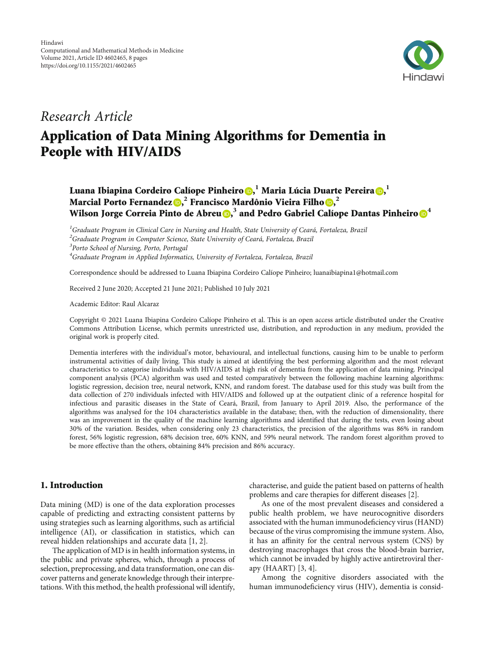

## Research Article

# Application of Data Mining Algorithms for Dementia in People with HIV/AIDS

Luana Ibiapina Cordeiro Calíope Pinheiro <mark>(b[,](https://orcid.org/0000-0002-7685-6169)</mark> <sup>1</sup> Maria Lúcia Duarte Pereira (<mark>b</mark>, <sup>1</sup> Marcial Porto Fernandez **D**[,](https://orcid.org/0000-0003-3332-6253)<sup>2</sup> Francisco Mardônio Vieira Filho D,<sup>2</sup> Wilson Jorge Correia Pinto de Abreu $\textbf{0,}^3$  $\textbf{0,}^3$  $\textbf{0,}^3$  and Pedro Gabriel Calíope Dantas Pinheiro $\textbf{0}^4$  $\textbf{0}^4$ 

<sup>1</sup>Graduate Program in Clinical Care in Nursing and Health, State University of Ceará, Fortaleza, Brazil <sup>2</sup>Graduate Program in Computer Science, State University of Ceará, Fortaleza, Brazil <sup>3</sup>Porto School of Nursing, Porto, Portugal <sup>4</sup>Graduate Program in Applied Informatics, University of Fortaleza, Fortaleza, Brazil

Correspondence should be addressed to Luana Ibiapina Cordeiro Calíope Pinheiro; luanaibiapina1@hotmail.com

Received 2 June 2020; Accepted 21 June 2021; Published 10 July 2021

Academic Editor: Raul Alcaraz

Copyright © 2021 Luana Ibiapina Cordeiro Calíope Pinheiro et al. This is an open access article distributed under the [Creative](https://creativecommons.org/licenses/by/4.0/) [Commons Attribution License,](https://creativecommons.org/licenses/by/4.0/) which permits unrestricted use, distribution, and reproduction in any medium, provided the original work is properly cited.

Dementia interferes with the individual's motor, behavioural, and intellectual functions, causing him to be unable to perform instrumental activities of daily living. This study is aimed at identifying the best performing algorithm and the most relevant characteristics to categorise individuals with HIV/AIDS at high risk of dementia from the application of data mining. Principal component analysis (PCA) algorithm was used and tested comparatively between the following machine learning algorithms: logistic regression, decision tree, neural network, KNN, and random forest. The database used for this study was built from the data collection of 270 individuals infected with HIV/AIDS and followed up at the outpatient clinic of a reference hospital for infectious and parasitic diseases in the State of Ceará, Brazil, from January to April 2019. Also, the performance of the algorithms was analysed for the 104 characteristics available in the database; then, with the reduction of dimensionality, there was an improvement in the quality of the machine learning algorithms and identified that during the tests, even losing about 30% of the variation. Besides, when considering only 23 characteristics, the precision of the algorithms was 86% in random forest, 56% logistic regression, 68% decision tree, 60% KNN, and 59% neural network. The random forest algorithm proved to be more effective than the others, obtaining 84% precision and 86% accuracy.

### 1. Introduction

Data mining (MD) is one of the data exploration processes capable of predicting and extracting consistent patterns by using strategies such as learning algorithms, such as artificial intelligence (AI), or classification in statistics, which can reveal hidden relationships and accurate data [\[1](#page-6-0), [2\]](#page-6-0).

The application of MD is in health information systems, in the public and private spheres, which, through a process of selection, preprocessing, and data transformation, one can discover patterns and generate knowledge through their interpretations. With this method, the health professional will identify,

characterise, and guide the patient based on patterns of health problems and care therapies for different diseases [\[2\]](#page-6-0).

As one of the most prevalent diseases and considered a public health problem, we have neurocognitive disorders associated with the human immunodeficiency virus (HAND) because of the virus compromising the immune system. Also, it has an affinity for the central nervous system (CNS) by destroying macrophages that cross the blood-brain barrier, which cannot be invaded by highly active antiretroviral therapy (HAART) [[3](#page-6-0), [4](#page-6-0)].

Among the cognitive disorders associated with the human immunodeficiency virus (HIV), dementia is consid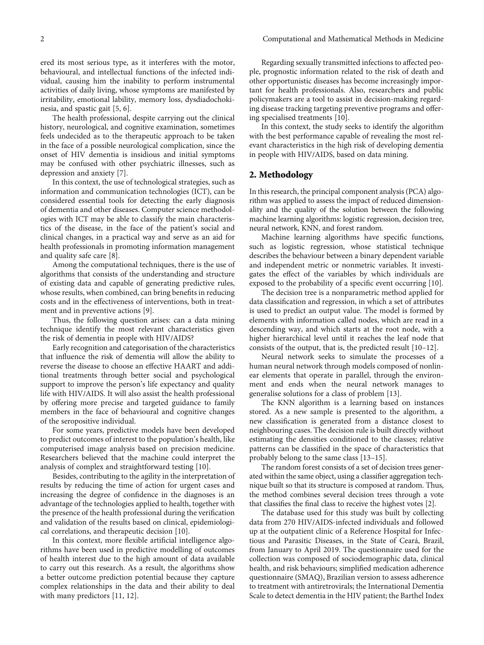ered its most serious type, as it interferes with the motor, behavioural, and intellectual functions of the infected individual, causing him the inability to perform instrumental activities of daily living, whose symptoms are manifested by irritability, emotional lability, memory loss, dysdiadochokinesia, and spastic gait [[5, 6](#page-6-0)].

The health professional, despite carrying out the clinical history, neurological, and cognitive examination, sometimes feels undecided as to the therapeutic approach to be taken in the face of a possible neurological complication, since the onset of HIV dementia is insidious and initial symptoms may be confused with other psychiatric illnesses, such as depression and anxiety [\[7\]](#page-6-0).

In this context, the use of technological strategies, such as information and communication technologies (ICT), can be considered essential tools for detecting the early diagnosis of dementia and other diseases. Computer science methodologies with ICT may be able to classify the main characteristics of the disease, in the face of the patient's social and clinical changes, in a practical way and serve as an aid for health professionals in promoting information management and quality safe care [\[8\]](#page-6-0).

Among the computational techniques, there is the use of algorithms that consists of the understanding and structure of existing data and capable of generating predictive rules, whose results, when combined, can bring benefits in reducing costs and in the effectiveness of interventions, both in treatment and in preventive actions [[9](#page-6-0)].

Thus, the following question arises: can a data mining technique identify the most relevant characteristics given the risk of dementia in people with HIV/AIDS?

Early recognition and categorisation of the characteristics that influence the risk of dementia will allow the ability to reverse the disease to choose an effective HAART and additional treatments through better social and psychological support to improve the person's life expectancy and quality life with HIV/AIDS. It will also assist the health professional by offering more precise and targeted guidance to family members in the face of behavioural and cognitive changes of the seropositive individual.

For some years, predictive models have been developed to predict outcomes of interest to the population's health, like computerised image analysis based on precision medicine. Researchers believed that the machine could interpret the analysis of complex and straightforward testing [[10\]](#page-6-0).

Besides, contributing to the agility in the interpretation of results by reducing the time of action for urgent cases and increasing the degree of confidence in the diagnoses is an advantage of the technologies applied to health, together with the presence of the health professional during the verification and validation of the results based on clinical, epidemiological correlations, and therapeutic decision [\[10\]](#page-6-0).

In this context, more flexible artificial intelligence algorithms have been used in predictive modelling of outcomes of health interest due to the high amount of data available to carry out this research. As a result, the algorithms show a better outcome prediction potential because they capture complex relationships in the data and their ability to deal with many predictors [\[11, 12](#page-6-0)].

Regarding sexually transmitted infections to affected people, prognostic information related to the risk of death and other opportunistic diseases has become increasingly important for health professionals. Also, researchers and public policymakers are a tool to assist in decision-making regarding disease tracking targeting preventive programs and offering specialised treatments [\[10\]](#page-6-0).

In this context, the study seeks to identify the algorithm with the best performance capable of revealing the most relevant characteristics in the high risk of developing dementia in people with HIV/AIDS, based on data mining.

#### 2. Methodology

In this research, the principal component analysis (PCA) algorithm was applied to assess the impact of reduced dimensionality and the quality of the solution between the following machine learning algorithms: logistic regression, decision tree, neural network, KNN, and forest random.

Machine learning algorithms have specific functions, such as logistic regression, whose statistical technique describes the behaviour between a binary dependent variable and independent metric or nonmetric variables. It investigates the effect of the variables by which individuals are exposed to the probability of a specific event occurring [\[10](#page-6-0)].

The decision tree is a nonparametric method applied for data classification and regression, in which a set of attributes is used to predict an output value. The model is formed by elements with information called nodes, which are read in a descending way, and which starts at the root node, with a higher hierarchical level until it reaches the leaf node that consists of the output, that is, the predicted result [[10](#page-6-0)–[12\]](#page-6-0).

Neural network seeks to simulate the processes of a human neural network through models composed of nonlinear elements that operate in parallel, through the environment and ends when the neural network manages to generalise solutions for a class of problem [[13](#page-6-0)].

The KNN algorithm is a learning based on instances stored. As a new sample is presented to the algorithm, a new classification is generated from a distance closest to neighbouring cases. The decision rule is built directly without estimating the densities conditioned to the classes; relative patterns can be classified in the space of characteristics that probably belong to the same class [[13](#page-6-0)–[15](#page-6-0)].

The random forest consists of a set of decision trees generated within the same object, using a classifier aggregation technique built so that its structure is composed at random. Thus, the method combines several decision trees through a vote that classifies the final class to receive the highest votes [\[2](#page-6-0)].

The database used for this study was built by collecting data from 270 HIV/AIDS-infected individuals and followed up at the outpatient clinic of a Reference Hospital for Infectious and Parasitic Diseases, in the State of Ceará, Brazil, from January to April 2019. The questionnaire used for the collection was composed of sociodemographic data, clinical health, and risk behaviours; simplified medication adherence questionnaire (SMAQ), Brazilian version to assess adherence to treatment with antiretrovirals; the International Dementia Scale to detect dementia in the HIV patient; the Barthel Index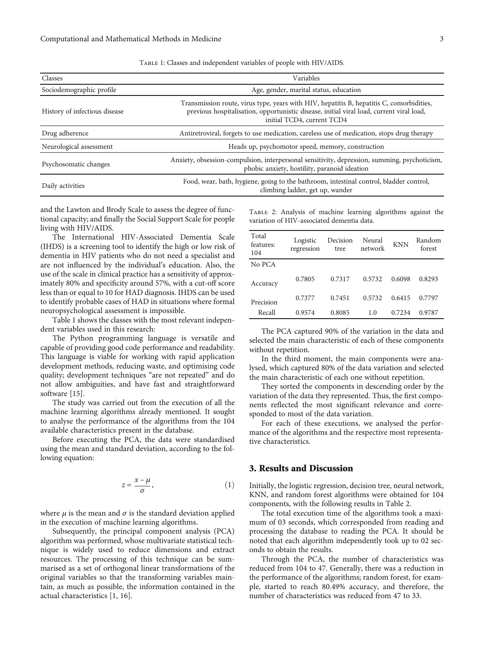| Classes                       | Variables                                                                                                                                                                                                          |  |  |  |
|-------------------------------|--------------------------------------------------------------------------------------------------------------------------------------------------------------------------------------------------------------------|--|--|--|
| Sociodemographic profile      | Age, gender, marital status, education                                                                                                                                                                             |  |  |  |
| History of infectious disease | Transmission route, virus type, years with HIV, hepatitis B, hepatitis C, comorbidities,<br>previous hospitalisation, opportunistic disease, initial viral load, current viral load,<br>initial TCD4, current TCD4 |  |  |  |
| Drug adherence                | Antiretroviral, forgets to use medication, careless use of medication, stops drug therapy                                                                                                                          |  |  |  |
| Neurological assessment       | Heads up, psychomotor speed, memory, construction                                                                                                                                                                  |  |  |  |
| Psychosomatic changes         | Anxiety, obsession-compulsion, interpersonal sensitivity, depression, summing, psychoticism,<br>phobic anxiety, hostility, paranoid ideation                                                                       |  |  |  |
| Daily activities              | Food, wear, bath, hygiene, going to the bathroom, intestinal control, bladder control,<br>climbing ladder, get up, wander                                                                                          |  |  |  |

and the Lawton and Brody Scale to assess the degree of functional capacity; and finally the Social Support Scale for people living with HIV/AIDS.

The International HIV-Associated Dementia Scale (IHDS) is a screening tool to identify the high or low risk of dementia in HIV patients who do not need a specialist and are not influenced by the individual's education. Also, the use of the scale in clinical practice has a sensitivity of approximately 80% and specificity around 57%, with a cut-off score less than or equal to 10 for HAD diagnosis. IHDS can be used to identify probable cases of HAD in situations where formal neuropsychological assessment is impossible.

Table 1 shows the classes with the most relevant independent variables used in this research:

The Python programming language is versatile and capable of providing good code performance and readability. This language is viable for working with rapid application development methods, reducing waste, and optimising code quality; development techniques "are not repeated" and do not allow ambiguities, and have fast and straightforward software [[15](#page-6-0)].

The study was carried out from the execution of all the machine learning algorithms already mentioned. It sought to analyse the performance of the algorithms from the 104 available characteristics present in the database.

Before executing the PCA, the data were standardised using the mean and standard deviation, according to the following equation:

$$
z = \frac{x - \mu}{\sigma},\tag{1}
$$

where  $\mu$  is the mean and  $\sigma$  is the standard deviation applied in the execution of machine learning algorithms.

Subsequently, the principal component analysis (PCA) algorithm was performed, whose multivariate statistical technique is widely used to reduce dimensions and extract resources. The processing of this technique can be summarised as a set of orthogonal linear transformations of the original variables so that the transforming variables maintain, as much as possible, the information contained in the actual characteristics [\[1, 16](#page-6-0)].

Table 2: Analysis of machine learning algorithms against the variation of HIV-associated dementia data.

| Total<br>features:<br>104 | Logistic<br>regression | Decision<br>tree | Neural<br>network | <b>KNN</b> | Random<br>forest |
|---------------------------|------------------------|------------------|-------------------|------------|------------------|
| No PCA                    |                        |                  |                   |            |                  |
| Accuracy                  | 0.7805                 | 0.7317           | 0.5732            | 0.6098     | 0.8293           |
| Precision                 | 0.7377                 | 0.7451           | 0.5732            | 0.6415     | 0.7797           |
| Recall                    | 0.9574                 | 0.8085           | 1.0               | 0.7234     | 0.9787           |

The PCA captured 90% of the variation in the data and selected the main characteristic of each of these components without repetition.

In the third moment, the main components were analysed, which captured 80% of the data variation and selected the main characteristic of each one without repetition.

They sorted the components in descending order by the variation of the data they represented. Thus, the first components reflected the most significant relevance and corresponded to most of the data variation.

For each of these executions, we analysed the performance of the algorithms and the respective most representative characteristics.

#### 3. Results and Discussion

Initially, the logistic regression, decision tree, neural network, KNN, and random forest algorithms were obtained for 104 components, with the following results in Table 2.

The total execution time of the algorithms took a maximum of 03 seconds, which corresponded from reading and processing the database to reading the PCA. It should be noted that each algorithm independently took up to 02 seconds to obtain the results.

Through the PCA, the number of characteristics was reduced from 104 to 47. Generally, there was a reduction in the performance of the algorithms; random forest, for example, started to reach 80.49% accuracy, and therefore, the number of characteristics was reduced from 47 to 33.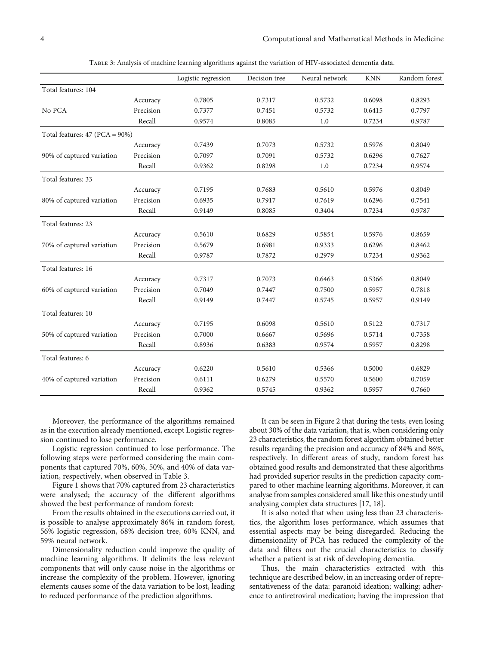|                                  |           | Logistic regression | Decision tree | Neural network | <b>KNN</b> | Random forest |
|----------------------------------|-----------|---------------------|---------------|----------------|------------|---------------|
| Total features: 104              |           |                     |               |                |            |               |
|                                  | Accuracy  | 0.7805              | 0.7317        | 0.5732         | 0.6098     | 0.8293        |
| No PCA                           | Precision | 0.7377              | 0.7451        | 0.5732         | 0.6415     | 0.7797        |
|                                  | Recall    | 0.9574              | 0.8085        | 1.0            | 0.7234     | 0.9787        |
| Total features: $47 (PCA = 90%)$ |           |                     |               |                |            |               |
|                                  | Accuracy  | 0.7439              | 0.7073        | 0.5732         | 0.5976     | 0.8049        |
| 90% of captured variation        | Precision | 0.7097              | 0.7091        | 0.5732         | 0.6296     | 0.7627        |
|                                  | Recall    | 0.9362              | 0.8298        | 1.0            | 0.7234     | 0.9574        |
| Total features: 33               |           |                     |               |                |            |               |
|                                  | Accuracy  | 0.7195              | 0.7683        | 0.5610         | 0.5976     | 0.8049        |
| 80% of captured variation        | Precision | 0.6935              | 0.7917        | 0.7619         | 0.6296     | 0.7541        |
|                                  | Recall    | 0.9149              | 0.8085        | 0.3404         | 0.7234     | 0.9787        |
| Total features: 23               |           |                     |               |                |            |               |
|                                  | Accuracy  | 0.5610              | 0.6829        | 0.5854         | 0.5976     | 0.8659        |
| 70% of captured variation        | Precision | 0.5679              | 0.6981        | 0.9333         | 0.6296     | 0.8462        |
|                                  | Recall    | 0.9787              | 0.7872        | 0.2979         | 0.7234     | 0.9362        |
| Total features: 16               |           |                     |               |                |            |               |
|                                  | Accuracy  | 0.7317              | 0.7073        | 0.6463         | 0.5366     | 0.8049        |
| 60% of captured variation        | Precision | 0.7049              | 0.7447        | 0.7500         | 0.5957     | 0.7818        |
|                                  | Recall    | 0.9149              | 0.7447        | 0.5745         | 0.5957     | 0.9149        |
| Total features: 10               |           |                     |               |                |            |               |
|                                  | Accuracy  | 0.7195              | 0.6098        | 0.5610         | 0.5122     | 0.7317        |
| 50% of captured variation        | Precision | 0.7000              | 0.6667        | 0.5696         | 0.5714     | 0.7358        |
|                                  | Recall    | 0.8936              | 0.6383        | 0.9574         | 0.5957     | 0.8298        |
| Total features: 6                |           |                     |               |                |            |               |
|                                  | Accuracy  | 0.6220              | 0.5610        | 0.5366         | 0.5000     | 0.6829        |
| 40% of captured variation        | Precision | 0.6111              | 0.6279        | 0.5570         | 0.5600     | 0.7059        |
|                                  | Recall    | 0.9362              | 0.5745        | 0.9362         | 0.5957     | 0.7660        |

Table 3: Analysis of machine learning algorithms against the variation of HIV-associated dementia data.

Moreover, the performance of the algorithms remained as in the execution already mentioned, except Logistic regression continued to lose performance.

Logistic regression continued to lose performance. The following steps were performed considering the main components that captured 70%, 60%, 50%, and 40% of data variation, respectively, when observed in Table 3.

Figure [1](#page-4-0) shows that 70% captured from 23 characteristics were analysed; the accuracy of the different algorithms showed the best performance of random forest:

From the results obtained in the executions carried out, it is possible to analyse approximately 86% in random forest, 56% logistic regression, 68% decision tree, 60% KNN, and 59% neural network.

Dimensionality reduction could improve the quality of machine learning algorithms. It delimits the less relevant components that will only cause noise in the algorithms or increase the complexity of the problem. However, ignoring elements causes some of the data variation to be lost, leading to reduced performance of the prediction algorithms.

It can be seen in Figure [2](#page-4-0) that during the tests, even losing about 30% of the data variation, that is, when considering only 23 characteristics, the random forest algorithm obtained better results regarding the precision and accuracy of 84% and 86%, respectively. In different areas of study, random forest has obtained good results and demonstrated that these algorithms had provided superior results in the prediction capacity compared to other machine learning algorithms. Moreover, it can analyse from samples considered small like this one study until analysing complex data structures [\[17, 18\]](#page-6-0).

It is also noted that when using less than 23 characteristics, the algorithm loses performance, which assumes that essential aspects may be being disregarded. Reducing the dimensionality of PCA has reduced the complexity of the data and filters out the crucial characteristics to classify whether a patient is at risk of developing dementia.

Thus, the main characteristics extracted with this technique are described below, in an increasing order of representativeness of the data: paranoid ideation; walking; adherence to antiretroviral medication; having the impression that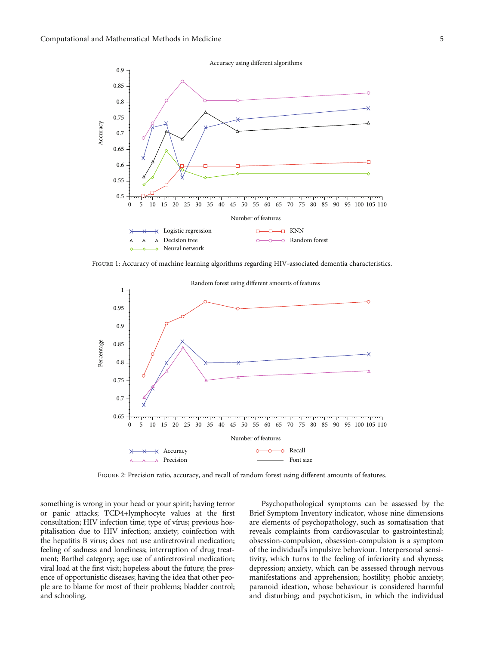<span id="page-4-0"></span>

Figure 1: Accuracy of machine learning algorithms regarding HIV-associated dementia characteristics.



Figure 2: Precision ratio, accuracy, and recall of random forest using different amounts of features.

something is wrong in your head or your spirit; having terror or panic attacks; TCD4+lymphocyte values at the first consultation; HIV infection time; type of vírus; previous hospitalisation due to HIV infection; anxiety; coinfection with the hepatitis B vírus; does not use antiretroviral medication; feeling of sadness and loneliness; interruption of drug treatment; Barthel category; age; use of antiretroviral medication; viral load at the first visit; hopeless about the future; the presence of opportunistic diseases; having the idea that other people are to blame for most of their problems; bladder control; and schooling.

Psychopathological symptoms can be assessed by the Brief Symptom Inventory indicator, whose nine dimensions are elements of psychopathology, such as somatisation that reveals complaints from cardiovascular to gastrointestinal; obsession-compulsion, obsession-compulsion is a symptom of the individual's impulsive behaviour. Interpersonal sensitivity, which turns to the feeling of inferiority and shyness; depression; anxiety, which can be assessed through nervous manifestations and apprehension; hostility; phobic anxiety; paranoid ideation, whose behaviour is considered harmful and disturbing; and psychoticism, in which the individual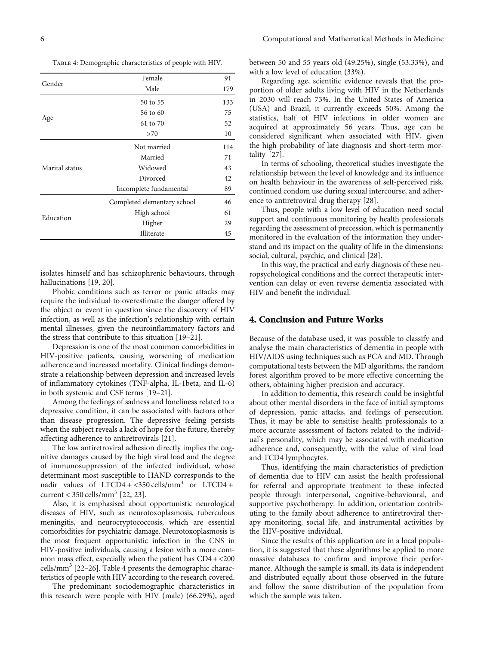Table 4: Demographic characteristics of people with HIV.

| Female                      | 91  |
|-----------------------------|-----|
| Male                        | 179 |
| 50 to 55                    | 133 |
| 56 to 60                    | 75  |
| 61 to 70                    | 52  |
| >70                         | 10  |
| Not married                 | 114 |
| Married                     | 71  |
| Widowed                     | 43  |
| Divorced                    | 42  |
| Incomplete fundamental      | 89  |
| Completed elementary school | 46  |
| High school                 | 61  |
| Higher                      | 29  |
| Illiterate                  | 45  |
|                             |     |

isolates himself and has schizophrenic behaviours, through hallucinations [\[19, 20](#page-6-0)].

Phobic conditions such as terror or panic attacks may require the individual to overestimate the danger offered by the object or event in question since the discovery of HIV infection, as well as the infection's relationship with certain mental illnesses, given the neuroinflammatory factors and the stress that contribute to this situation [\[19](#page-6-0)–[21\]](#page-6-0).

Depression is one of the most common comorbidities in HIV-positive patients, causing worsening of medication adherence and increased mortality. Clinical findings demonstrate a relationship between depression and increased levels of inflammatory cytokines (TNF-alpha, IL-1beta, and IL-6) in both systemic and CSF terms [\[19](#page-6-0)–[21](#page-6-0)].

Among the feelings of sadness and loneliness related to a depressive condition, it can be associated with factors other than disease progression. The depressive feeling persists when the subject reveals a lack of hope for the future, thereby affecting adherence to antiretrovirals [\[21\]](#page-6-0).

The low antiretroviral adhesion directly implies the cognitive damages caused by the high viral load and the degree of immunosuppression of the infected individual, whose determinant most susceptible to HAND corresponds to the nadir values of  $LTCD4 + <350$  cells/mm<sup>3</sup> or  $LTCD4 +$ current <  $350$  cells/mm<sup>3</sup> [[22](#page-6-0), [23\]](#page-6-0).

Also, it is emphasised about opportunistic neurological diseases of HIV, such as neurotoxoplasmosis, tuberculous meningitis, and neurocryptococcosis, which are essential comorbidities for psychiatric damage. Neurotoxoplasmosis is the most frequent opportunistic infection in the CNS in HIV-positive individuals, causing a lesion with a more common mass effect, especially when the patient has  $CD4 + <200$ cells/mm<sup>3</sup> [\[22](#page-6-0)–[26](#page-6-0)]. Table 4 presents the demographic characteristics of people with HIV according to the research covered.

The predominant sociodemographic characteristics in this research were people with HIV (male) (66.29%), aged between 50 and 55 years old (49.25%), single (53.33%), and with a low level of education (33%).

Regarding age, scientific evidence reveals that the proportion of older adults living with HIV in the Netherlands in 2030 will reach 73%. In the United States of America (USA) and Brazil, it currently exceeds 50%. Among the statistics, half of HIV infections in older women are acquired at approximately 56 years. Thus, age can be considered significant when associated with HIV, given the high probability of late diagnosis and short-term mortality [[27](#page-7-0)].

In terms of schooling, theoretical studies investigate the relationship between the level of knowledge and its influence on health behaviour in the awareness of self-perceived risk, continued condom use during sexual intercourse, and adherence to antiretroviral drug therapy [[28](#page-7-0)].

Thus, people with a low level of education need social support and continuous monitoring by health professionals regarding the assessment of precession, which is permanently monitored in the evaluation of the information they understand and its impact on the quality of life in the dimensions: social, cultural, psychic, and clinical [[28](#page-7-0)].

In this way, the practical and early diagnosis of these neuropsychological conditions and the correct therapeutic intervention can delay or even reverse dementia associated with HIV and benefit the individual.

#### 4. Conclusion and Future Works

Because of the database used, it was possible to classify and analyse the main characteristics of dementia in people with HIV/AIDS using techniques such as PCA and MD. Through computational tests between the MD algorithms, the random forest algorithm proved to be more effective concerning the others, obtaining higher precision and accuracy.

In addition to dementia, this research could be insightful about other mental disorders in the face of initial symptoms of depression, panic attacks, and feelings of persecution. Thus, it may be able to sensitise health professionals to a more accurate assessment of factors related to the individual's personality, which may be associated with medication adherence and, consequently, with the value of viral load and TCD4 lymphocytes.

Thus, identifying the main characteristics of prediction of dementia due to HIV can assist the health professional for referral and appropriate treatment to these infected people through interpersonal, cognitive-behavioural, and supportive psychotherapy. In addition, orientation contributing to the family about adherence to antiretroviral therapy monitoring, social life, and instrumental activities by the HIV-positive individual.

Since the results of this application are in a local population, it is suggested that these algorithms be applied to more massive databases to confirm and improve their performance. Although the sample is small, its data is independent and distributed equally about those observed in the future and follow the same distribution of the population from which the sample was taken.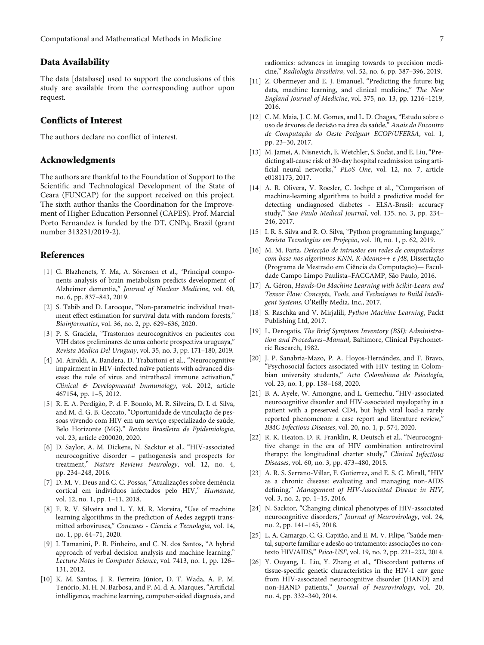#### <span id="page-6-0"></span>Data Availability

The data [database] used to support the conclusions of this study are available from the corresponding author upon request.

#### Conflicts of Interest

The authors declare no conflict of interest.

#### Acknowledgments

The authors are thankful to the Foundation of Support to the Scientific and Technological Development of the State of Ceara (FUNCAP) for the support received on this project. The sixth author thanks the Coordination for the Improvement of Higher Education Personnel (CAPES). Prof. Marcial Porto Fernandez is funded by the DT, CNPq, Brazil (grant number 313231/2019-2).

#### References

- [1] G. Blazhenets, Y. Ma, A. Sörensen et al., "Principal components analysis of brain metabolism predicts development of Alzheimer dementia," Journal of Nuclear Medicine, vol. 60, no. 6, pp. 837–843, 2019.
- [2] S. Tabib and D. Larocque, "Non-parametric individual treatment effect estimation for survival data with random forests," Bioinformatics, vol. 36, no. 2, pp. 629–636, 2020.
- [3] P. S. Graciela, "Trastornos neurocognitivos en pacientes con VIH datos preliminares de uma cohorte prospectiva uruguaya," Revista Medica Del Uruguay, vol. 35, no. 3, pp. 171–180, 2019.
- [4] M. Airoldi, A. Bandera, D. Trabattoni et al., "Neurocognitive impairment in HIV-infected naïve patients with advanced disease: the role of virus and intrathecal immune activation," Clinical & Developmental Immunology, vol. 2012, article 467154, pp. 1–5, 2012.
- [5] R. E. A. Perdigão, P. d. F. Bonolo, M. R. Silveira, D. I. d. Silva, and M. d. G. B. Ceccato, "Oportunidade de vinculação de pessoas vivendo com HIV em um serviço especializado de saúde, Belo Horizonte (MG)," Revista Brasileira de Epidemiologia, vol. 23, article e200020, 2020.
- [6] D. Saylor, A. M. Dickens, N. Sacktor et al., "HIV-associated neurocognitive disorder – pathogenesis and prospects for treatment," Nature Reviews Neurology, vol. 12, no. 4, pp. 234–248, 2016.
- [7] D. M. V. Deus and C. C. Possas, "Atualizações sobre demência cortical em indivíduos infectados pelo HIV," Humanae, vol. 12, no. 1, pp. 1–11, 2018.
- [8] F. R. V. Silveira and L. Y. M. R. Moreira, "Use of machine learning algorithms in the prediction of Aedes aegypti transmitted arboviruses," Conexoes - Ciencia e Tecnologia, vol. 14, no. 1, pp. 64–71, 2020.
- [9] I. Tamanini, P. R. Pinheiro, and C. N. dos Santos, "A hybrid approach of verbal decision analysis and machine learning," Lecture Notes in Computer Science, vol. 7413, no. 1, pp. 126– 131, 2012.
- [10] K. M. Santos, J. R. Ferreira Júnior, D. T. Wada, A. P. M. Tenório, M. H. N. Barbosa, and P. M. d. A. Marques, "Artificial intelligence, machine learning, computer-aided diagnosis, and
- [11] Z. Obermeyer and E. J. Emanuel, "Predicting the future: big data, machine learning, and clinical medicine," The New England Journal of Medicine, vol. 375, no. 13, pp. 1216–1219, 2016.
- [12] C. M. Maia, J. C. M. Gomes, and L. D. Chagas, "Estudo sobre o uso de árvores de decisão na área da saúde," Anais do Encontro de Computação do Oeste Potiguar ECOP/UFERSA, vol. 1, pp. 23–30, 2017.
- [13] M. Jamei, A. Nisnevich, E. Wetchler, S. Sudat, and E. Liu, "Predicting all-cause risk of 30-day hospital readmission using artificial neural networks," PLoS One, vol. 12, no. 7, article e0181173, 2017.
- [14] A. R. Olivera, V. Roesler, C. Iochpe et al., "Comparison of machine-learning algorithms to build a predictive model for detecting undiagnosed diabetes - ELSA-Brasil: accuracy study," Sao Paulo Medical Journal, vol. 135, no. 3, pp. 234– 246, 2017.
- [15] I. R. S. Silva and R. O. Silva, "Python programming language," Revista Tecnologias em Projeção, vol. 10, no. 1, p. 62, 2019.
- [16] M. M. Faria, Detecção de intrusões em redes de computadores com base nos algoritmos KNN, K-Means++ e J48, Dissertação (Programa de Mestrado em Ciência da Computação)— Faculdade Campo Limpo Paulista–FACCAMP, São Paulo, 2016.
- [17] A. Géron, Hands-On Machine Learning with Scikit-Learn and Tensor Flow: Concepts, Tools, and Techniques to Build Intelligent Systems, O'Reilly Media, Inc., 2017.
- [18] S. Raschka and V. Mirjalili, Python Machine Learning, Packt Publishing Ltd, 2017.
- [19] L. Derogatis, The Brief Symptom Inventory (BSI): Administration and Procedures–Manual, Baltimore, Clinical Psychometric Research, 1982.
- [20] J. P. Sanabria-Mazo, P. A. Hoyos-Hernández, and F. Bravo, "Psychosocial factors associated with HIV testing in Colombian university students," Acta Colombiana de Psicología, vol. 23, no. 1, pp. 158–168, 2020.
- [21] B. A. Ayele, W. Amongne, and L. Gemechu, "HIV-associated neurocognitive disorder and HIV-associated myelopathy in a patient with a preserved CD4, but high viral load-a rarely reported phenomenon: a case report and literature review," BMC Infectious Diseases, vol. 20, no. 1, p. 574, 2020.
- [22] R. K. Heaton, D. R. Franklin, R. Deutsch et al., "Neurocognitive change in the era of HIV combination antiretroviral therapy: the longitudinal charter study," Clinical Infectious Diseases, vol. 60, no. 3, pp. 473–480, 2015.
- [23] A. R. S. Serrano-Villar, F. Gutierrez, and E. S. C. Mirall, "HIV as a chronic disease: evaluating and managing non-AIDS defining," Management of HIV-Associated Disease in HIV, vol. 3, no. 2, pp. 1–15, 2016.
- [24] N. Sacktor, "Changing clinical phenotypes of HIV-associated neurocognitive disorders," Journal of Neurovirology, vol. 24, no. 2, pp. 141–145, 2018.
- [25] L. A. Camargo, C. G. Capitão, and E. M. V. Filipe, "Saúde mental, suporte familiar e adesão ao tratamento: associações no contexto HIV/AIDS," Psico-USF, vol. 19, no. 2, pp. 221–232, 2014.
- [26] Y. Ouyang, L. Liu, Y. Zhang et al., "Discordant patterns of tissue-specific genetic characteristics in the HIV-1 env gene from HIV-associated neurocognitive disorder (HAND) and non-HAND patients," Journal of Neurovirology, vol. 20, no. 4, pp. 332–340, 2014.